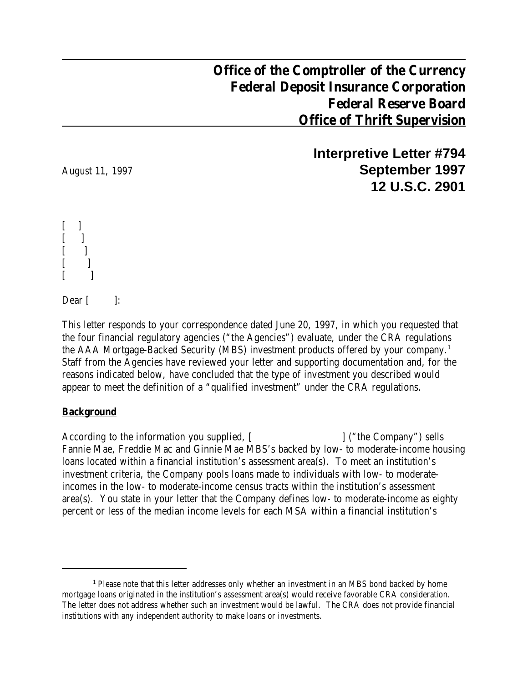## **Office of the Comptroller of the Currency Federal Deposit Insurance Corporation Federal Reserve Board Office of Thrift Supervision**

**Interpretive Letter #794** August 11, 1997 **September 1997 12 U.S.C. 2901**

 $\Box$  $\Box$  $\lceil$  $[$  ]  $[$  ]

Dear  $\lbrack$   $\lbrack$ :

This letter responds to your correspondence dated June 20, 1997, in which you requested that the four financial regulatory agencies ("the Agencies") evaluate, under the CRA regulations the AAA Mortgage-Backed Security (MBS) investment products offered by your company.<sup>1</sup> Staff from the Agencies have reviewed your letter and supporting documentation and, for the reasons indicated below, have concluded that the type of investment you described would appear to meet the definition of a "qualified investment" under the CRA regulations.

## **Background**

According to the information you supplied, [ ] ("the Company") sells Fannie Mae, Freddie Mac and Ginnie Mae MBS's backed by low- to moderate-income housing loans located within a financial institution's assessment area(s). To meet an institution's investment criteria, the Company pools loans made to individuals with low- to moderateincomes in the low- to moderate-income census tracts within the institution's assessment area(s). You state in your letter that the Company defines low- to moderate-income as eighty percent or less of the median income levels for each MSA within a financial institution's

<sup>&</sup>lt;sup>1</sup> Please note that this letter addresses only whether an investment in an MBS bond backed by home mortgage loans originated in the institution's assessment area(s) would receive favorable CRA consideration. The letter does not address whether such an investment would be lawful. The CRA does not provide financial institutions with any independent authority to make loans or investments.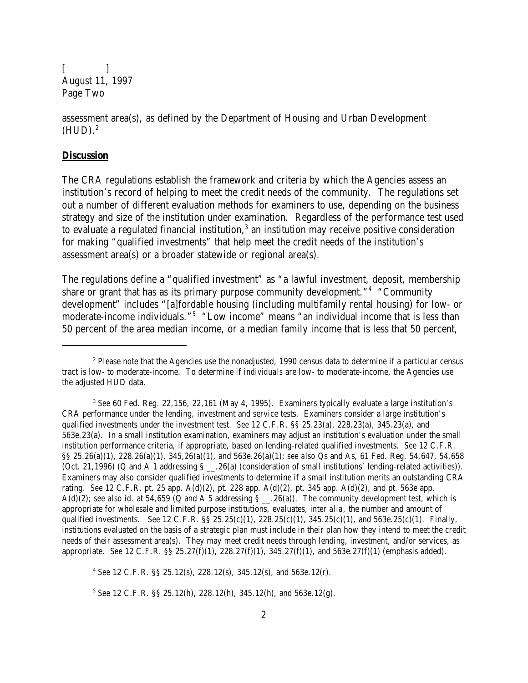$\Box$ August 11, 1997 Page Two

assessment area(s), as defined by the Department of Housing and Urban Development  $(HUD).<sup>2</sup>$ 

## **Discussion**

The CRA regulations establish the framework and criteria by which the Agencies assess an institution's record of helping to meet the credit needs of the community. The regulations set out a number of different evaluation methods for examiners to use, depending on the business strategy and size of the institution under examination. Regardless of the performance test used to evaluate a regulated financial institution, $^3$  an institution may receive positive consideration for making "qualified investments" that help meet the credit needs of the institution's assessment area(s) or a broader statewide or regional area(s).

The regulations define a "qualified investment" as "a lawful investment, deposit, membership share or grant that has as its primary purpose community development."<sup>4</sup> "Community development" includes "[a]fordable housing (including multifamily rental housing) for low- or moderate-income individuals."<sup>5</sup> "Low income" means "an individual income that is less than 50 percent of the area median income, or a median family income that is less that 50 percent,

4 *See* 12 C.F.R. §§ 25.12(s), 228.12(s), 345.12(s), and 563e.12(r).

 $^2$  Please note that the Agencies use the nonadjusted, 1990 census data to determine if a particular census tract is low- to moderate-income. To determine if *individuals* are low- to moderate-income, the Agencies use the adjusted HUD data.

<sup>&</sup>lt;sup>3</sup> See 60 Fed. Reg. 22,156, 22,161 (May 4, 1995). Examiners typically evaluate a large institution's CRA performance under the lending, investment and service tests. Examiners consider a large institution's qualified investments under the investment test. *See* 12 C.F.R. §§ 25.23(a), 228.23(a), 345.23(a), and 563e.23(a). In a small institution examination, examiners may adjust an institution's evaluation under the small institution performance criteria, if appropriate, based on lending-related qualified investments. *See* 12 C.F.R. §§ 25.26(a)(1), 228.26(a)(1), 345,26(a)(1), and 563e.26(a)(1); *see also* Qs and As, 61 Fed. Reg. 54,647, 54,658 (Oct. 21,1996) (Q and A 1 addressing  $\S$  . 26(a) (consideration of small institutions' lending-related activities)). Examiners may also consider qualified investments to determine if a small institution merits an outstanding CRA rating. *See* 12 C.F.R. pt. 25 app. A(d)(2), pt. 228 app. A(d)(2), pt. 345 app. A(d)(2), and pt. 563e app. A(d)(2); *see also id.* at 54,659 (Q and A 5 addressing  $\S$  \_\_.26(a)). The community development test, which is appropriate for wholesale and limited purpose institutions, evaluates, *inter alia*, the number and amount of qualified investments. *See* 12 C.F.R. §§ 25.25(c)(1), 228.25(c)(1), 345.25(c)(1), and 563e.25(c)(1). Finally, institutions evaluated on the basis of a strategic plan must include in their plan how they intend to meet the credit needs of their assessment area(s). They may meet credit needs through lending, *investment*, and/or services, as appropriate. *See* 12 C.F.R. §§ 25.27(f)(1), 228.27(f)(1), 345.27(f)(1), and 563e.27(f)(1) (emphasis added).

<sup>5</sup> *See* 12 C.F.R. §§ 25.12(h), 228.12(h), 345.12(h), and 563e.12(g).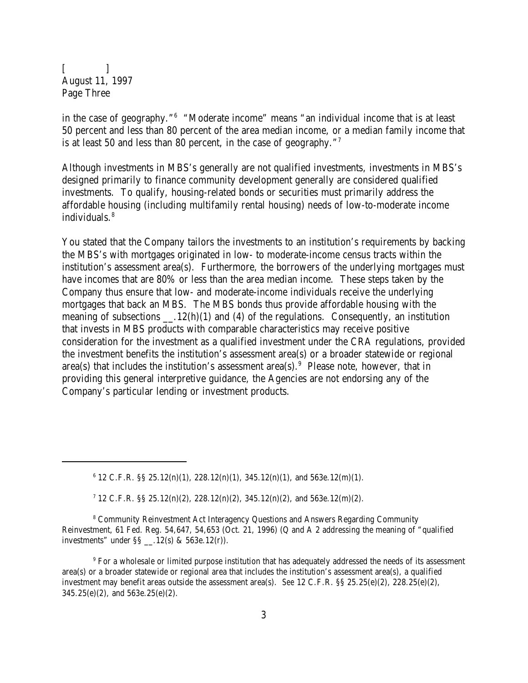$\lceil$   $\lceil$ August 11, 1997 Page Three

in the case of geography."<sup>6</sup> "Moderate income" means "an individual income that is at least 50 percent and less than 80 percent of the area median income, or a median family income that is at least 50 and less than 80 percent, in the case of geography."<sup>7</sup>

Although investments in MBS's generally are not qualified investments, investments in MBS's designed primarily to finance community development generally are considered qualified investments. To qualify, housing-related bonds or securities must primarily address the affordable housing (including multifamily rental housing) needs of low-to-moderate income individuals.<sup>8</sup>

You stated that the Company tailors the investments to an institution's requirements by backing the MBS's with mortgages originated in low- to moderate-income census tracts within the institution's assessment area(s). Furthermore, the borrowers of the underlying mortgages must have incomes that are 80% or less than the area median income. These steps taken by the Company thus ensure that low- and moderate-income individuals receive the underlying mortgages that back an MBS. The MBS bonds thus provide affordable housing with the meaning of subsections  $\qquad$ . 12(h)(1) and (4) of the regulations. Consequently, an institution that invests in MBS products with comparable characteristics may receive positive consideration for the investment as a qualified investment under the CRA regulations, provided the investment benefits the institution's assessment area(s) or a broader statewide or regional area(s) that includes the institution's assessment area(s). $9$  Please note, however, that in providing this general interpretive guidance, the Agencies are not endorsing any of the Company's particular lending or investment products.

 $6$  12 C.F.R. §§ 25.12(n)(1), 228.12(n)(1), 345.12(n)(1), and 563e.12(m)(1).

<sup>7</sup> 12 C.F.R. §§ 25.12(n)(2), 228.12(n)(2), 345.12(n)(2), and 563e.12(m)(2).

<sup>8</sup> Community Reinvestment Act Interagency Questions and Answers Regarding Community Reinvestment, 61 Fed. Reg. 54,647, 54,653 (Oct. 21, 1996) (Q and A 2 addressing the meaning of "qualified investments" under §§ \_\_.12(s) & 563e.12(r)).

 $^9$  For a wholesale or limited purpose institution that has adequately addressed the needs of its assessment area(s) or a broader statewide or regional area that includes the institution's assessment area(s), a qualified investment may benefit areas outside the assessment area(s). *See* 12 C.F.R. §§ 25.25(e)(2), 228.25(e)(2), 345.25(e)(2), and 563e.25(e)(2).